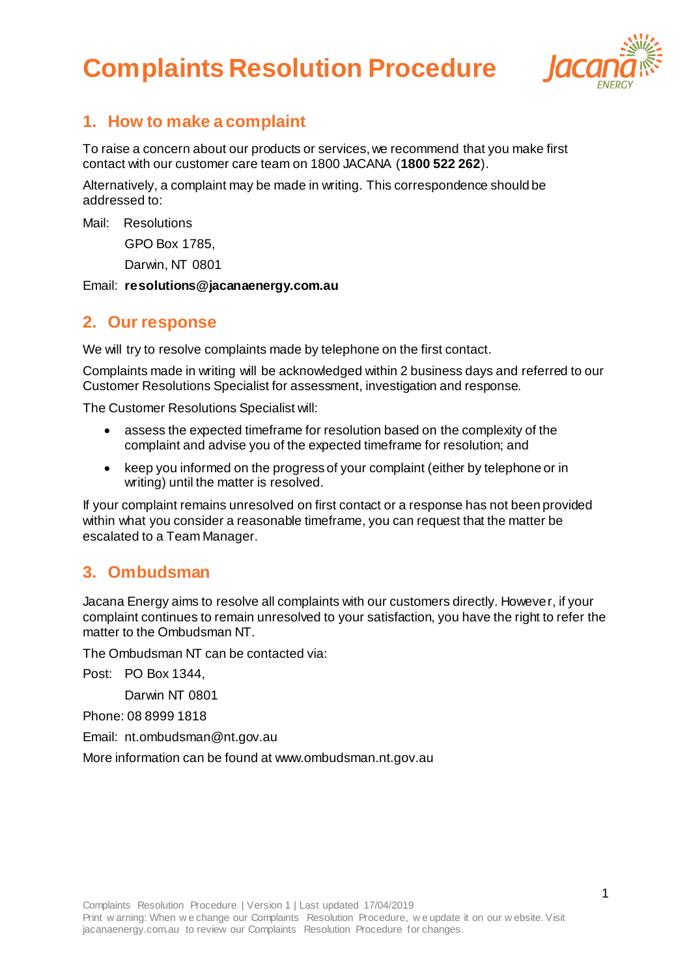# **Complaints Resolution Procedure**



### **1. How to make a complaint**

To raise a concern about our products or services, we recommend that you make first contact with our customer care team on 1800 JACANA (**1800 522 262**).

Alternatively, a complaint may be made in writing. This correspondence should be addressed to:

Mail: Resolutions

GPO Box 1785,

Darwin, NT 0801

Email: **resolutions@jacanaenergy.com.au** 

#### **2. Our response**

We will try to resolve complaints made by telephone on the first contact.

Complaints made in writing will be acknowledged within 2 business days and referred to our Customer Resolutions Specialist for assessment, investigation and response.

The Customer Resolutions Specialist will:

- assess the expected timeframe for resolution based on the complexity of the complaint and advise you of the expected timeframe for resolution; and
- keep you informed on the progress of your complaint (either by telephone or in writing) until the matter is resolved.

If your complaint remains unresolved on first contact or a response has not been provided within what you consider a reasonable timeframe, you can request that the matter be escalated to a Team Manager.

### **3. Ombudsman**

Jacana Energy aims to resolve all complaints with our customers directly. However, if your complaint continues to remain unresolved to your satisfaction, you have the right to refer the matter to the Ombudsman NT.

The Ombudsman NT can be contacted via:

Post: PO Box 1344,

Darwin NT 0801

Phone: 08 8999 1818

Email: [nt.ombudsman@nt.gov.au](mailto:nt.ombudsman@nt.gov.au)

More information can be found a[t www.ombudsman.nt.gov.au](http://www.ombudsman.nt.gov.au/)